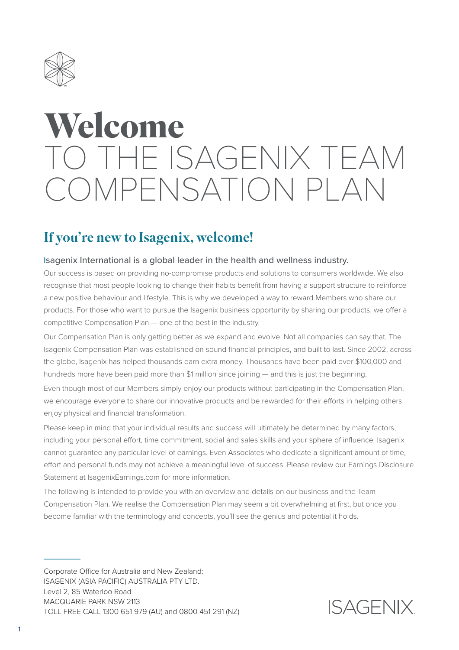

# **Welcome** TO THE ISAGENIX TEAM COMPENSATION PLAN

## If you're new to Isagenix, welcome!

#### Isagenix International is a global leader in the health and wellness industry.

Our success is based on providing no-compromise products and solutions to consumers worldwide. We also recognise that most people looking to change their habits benefit from having a support structure to reinforce a new positive behaviour and lifestyle. This is why we developed a way to reward Members who share our products. For those who want to pursue the Isagenix business opportunity by sharing our products, we offer a competitive Compensation Plan — one of the best in the industry.

Our Compensation Plan is only getting better as we expand and evolve. Not all companies can say that. The Isagenix Compensation Plan was established on sound financial principles, and built to last. Since 2002, across the globe, Isagenix has helped thousands earn extra money. Thousands have been paid over \$100,000 and hundreds more have been paid more than \$1 million since joining — and this is just the beginning.

Even though most of our Members simply enjoy our products without participating in the Compensation Plan, we encourage everyone to share our innovative products and be rewarded for their efforts in helping others enjoy physical and financial transformation.

Please keep in mind that your individual results and success will ultimately be determined by many factors, including your personal effort, time commitment, social and sales skills and your sphere of influence. Isagenix cannot guarantee any particular level of earnings. Even Associates who dedicate a significant amount of time, effort and personal funds may not achieve a meaningful level of success. Please review our Earnings Disclosure Statement at IsagenixEarnings.com for more information.

The following is intended to provide you with an overview and details on our business and the Team Compensation Plan. We realise the Compensation Plan may seem a bit overwhelming at first, but once you become familiar with the terminology and concepts, you'll see the genius and potential it holds.

Corporate Office for Australia and New Zealand: ISAGENIX (ASIA PACIFIC) AUSTRALIA PTY LTD. Level 2, 85 Waterloo Road MACQUARIE PARK NSW 2113 TOLL FREE CALL 1300 651 979 (AU) and 0800 451 291 (NZ)

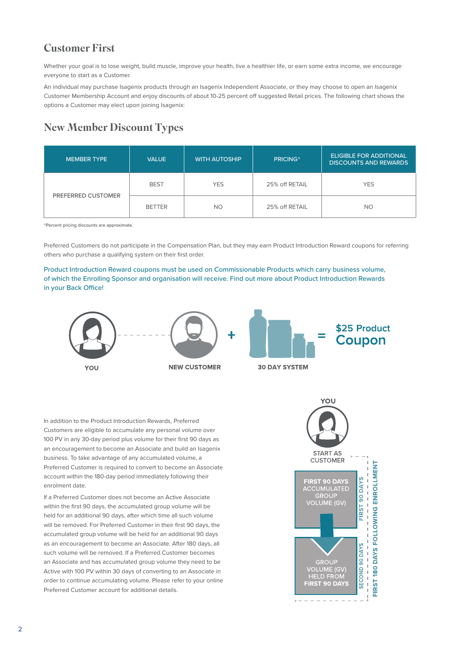## Customer First

Whether your goal is to lose weight, build muscle, improve your health, live a healthier life, or earn some extra income, we encourage everyone to start as a Customer.

An individual may purchase Isagenix products through an Isagenix Independent Associate, or they may choose to open an Isagenix Customer Membership Account and enjoy discounts of about 10-25 percent off suggested Retail prices. The following chart shows the options a Customer may elect upon joining Isagenix:

## New Member Discount Types

| <b>MEMBER TYPE</b> | <b>VALUE</b>  | <b>WITH AUTOSHIP</b> | <b>PRICING</b> <sup>^</sup> | <b>ELIGIBLE FOR ADDITIONAL</b><br><b>DISCOUNTS AND REWARDS</b> |
|--------------------|---------------|----------------------|-----------------------------|----------------------------------------------------------------|
| PREFERRED CUSTOMER | <b>BEST</b>   | <b>YES</b>           | 25% off RETAIL              | <b>YES</b>                                                     |
|                    | <b>BETTER</b> | <b>NO</b>            | 25% off RETAIL              | <b>NO</b>                                                      |

^Percent pricing discounts are approximate.

Preferred Customers do not participate in the Compensation Plan, but they may earn Product Introduction Reward coupons for referring others who purchase a qualifying system on their first order.

Product Introduction Reward coupons must be used on Commissionable Products which carry business volume, of which the Enrolling Sponsor and organisation will receive. Find out more about Product Introduction Rewards in your Back Office!



In addition to the Product Introduction Rewards, Preferred Customers are eligible to accumulate any personal volume over 100 PV in any 30-day period plus volume for their first 90 days as an encouragement to become an Associate and build an Isagenix business. To take advantage of any accumulated volume, a Preferred Customer is required to convert to become an Associate account within the 180-day period immediately following their enrolment date.

If a Preferred Customer does not become an Active Associate within the first 90 days, the accumulated group volume will be held for an additional 90 days, after which time all such volume will be removed. For Preferred Customer in their first 90 days, the accumulated group volume will be held for an additional 90 days as an encouragement to become an Associate. After 180 days, all such volume will be removed. If a Preferred Customer becomes an Associate and has accumulated group volume they need to be Active with 100 PV within 30 days of converting to an Associate in order to continue accumulating volume. Please refer to your online Preferred Customer account for additional details.

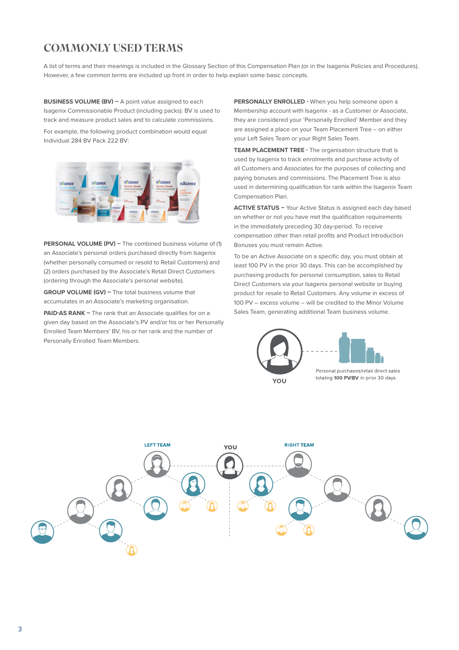## COMMONLY USED TERMS

A list of terms and their meanings is included in the Glossary Section of this Compensation Plan (or in the Isagenix Policies and Procedures). However, a few common terms are included up front in order to help explain some basic concepts.

**BUSINESS VOLUME (BV) –** A point value assigned to each Isagenix Commissionable Product (including packs). BV is used to track and measure product sales and to calculate commissions.

For example, the following product combination would equal Individual 284 BV Pack 222 BV:



**PERSONAL VOLUME (PV) –** The combined business volume of (1) an Associate's personal orders purchased directly from Isagenix (whether personally consumed or resold to Retail Customers) and (2) orders purchased by the Associate's Retail Direct Customers (ordering through the Associate's personal website).

**GROUP VOLUME (GV) –** The total business volume that accumulates in an Associate's marketing organisation.

**PAID-AS RANK –** The rank that an Associate qualifies for on a given day based on the Associate's PV and/or his or her Personally Enrolled Team Members' BV, his or her rank and the number of Personally Enrolled Team Members.

**PERSONALLY ENROLLED -** When you help someone open a Membership account with Isagenix - as a Customer or Associate, they are considered your 'Personally Enrolled' Member and they are assigned a place on your Team Placement Tree – on either your Left Sales Team or your Right Sales Team.

**TEAM PLACEMENT TREE -** The organisation structure that is used by Isagenix to track enrolments and purchase activity of all Customers and Associates for the purposes of collecting and paying bonuses and commissions. The Placement Tree is also used in determining qualification for rank within the Isagenix Team Compensation Plan.

**ACTIVE STATUS –** Your Active Status is assigned each day based on whether or not you have met the qualification requirements in the immediately preceding 30 day-period. To receive compensation other than retail profits and Product Introduction Bonuses you must remain Active.

To be an Active Associate on a specific day, you must obtain at least 100 PV in the prior 30 days. This can be accomplished by purchasing products for personal consumption, sales to Retail Direct Customers via your Isagenix personal website or buying product for resale to Retail Customers. Any volume in excess of 100 PV – excess volume – will be credited to the Minor Volume Sales Team, generating additional Team business volume.



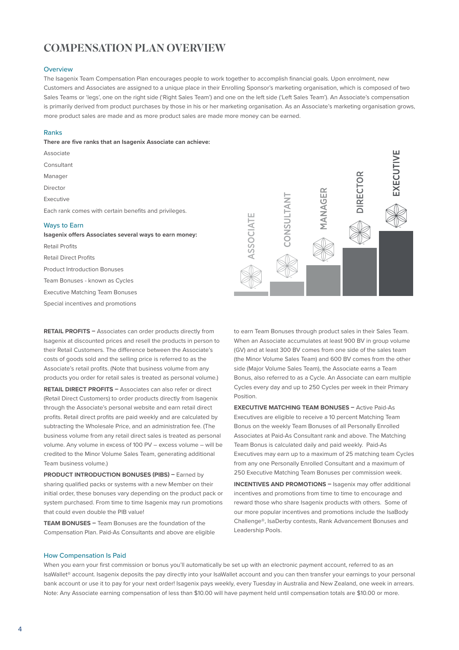## COMPENSATION PLAN OVERVIEW

#### **Overview**

The Isagenix Team Compensation Plan encourages people to work together to accomplish financial goals. Upon enrolment, new Customers and Associates are assigned to a unique place in their Enrolling Sponsor's marketing organisation, which is composed of two Sales Teams or 'legs', one on the right side ('Right Sales Team') and one on the left side ('Left Sales Team'). An Associate's compensation is primarily derived from product purchases by those in his or her marketing organisation. As an Associate's marketing organisation grows, more product sales are made and as more product sales are made more money can be earned.

#### Ranks

**There are five ranks that an Isagenix Associate can achieve:** 

- Associate Consultant Manager Director Executive Each rank comes with certain benefits and privileges. Ways to Earn
- **Isagenix offers Associates several ways to earn money:** Retail Profits Retail Direct Profits Product Introduction Bonuses Team Bonuses - known as Cycles Executive Matching Team Bonuses Special incentives and promotions

**RETAIL PROFITS –** Associates can order products directly from Isagenix at discounted prices and resell the products in person to their Retail Customers. The difference between the Associate's costs of goods sold and the selling price is referred to as the Associate's retail profits. (Note that business volume from any products you order for retail sales is treated as personal volume.)

**RETAIL DIRECT PROFITS –** Associates can also refer or direct (Retail Direct Customers) to order products directly from Isagenix through the Associate's personal website and earn retail direct profits. Retail direct profits are paid weekly and are calculated by subtracting the Wholesale Price, and an administration fee. (The business volume from any retail direct sales is treated as personal volume. Any volume in excess of 100 PV – excess volume – will be credited to the Minor Volume Sales Team, generating additional Team business volume.)

**PRODUCT INTRODUCTION BONUSES (PIBS) – Earned by** sharing qualified packs or systems with a new Member on their initial order, these bonuses vary depending on the product pack or system purchased. From time to time Isagenix may run promotions that could even double the PIB value!

**TEAM BONUSES –** Team Bonuses are the foundation of the Compensation Plan. Paid-As Consultants and above are eligible



to earn Team Bonuses through product sales in their Sales Team. When an Associate accumulates at least 900 BV in group volume (GV) and at least 300 BV comes from one side of the sales team (the Minor Volume Sales Team) and 600 BV comes from the other side (Major Volume Sales Team), the Associate earns a Team Bonus, also referred to as a Cycle. An Associate can earn multiple Cycles every day and up to 250 Cycles per week in their Primary Position.

**EXECUTIVE MATCHING TEAM BONUSES –** Active Paid-As Executives are eligible to receive a 10 percent Matching Team Bonus on the weekly Team Bonuses of all Personally Enrolled Associates at Paid-As Consultant rank and above. The Matching Team Bonus is calculated daily and paid weekly. Paid-As Executives may earn up to a maximum of 25 matching team Cycles from any one Personally Enrolled Consultant and a maximum of 250 Executive Matching Team Bonuses per commission week.

**INCENTIVES AND PROMOTIONS –** Isagenix may offer additional incentives and promotions from time to time to encourage and reward those who share Isagenix products with others. Some of our more popular incentives and promotions include the IsaBody Challenge®, IsaDerby contests, Rank Advancement Bonuses and Leadership Pools.

#### How Compensation Is Paid

When you earn your first commission or bonus you'll automatically be set up with an electronic payment account, referred to as an IsaWallet® account. Isagenix deposits the pay directly into your IsaWallet account and you can then transfer your earnings to your personal bank account or use it to pay for your next order! Isagenix pays weekly, every Tuesday in Australia and New Zealand, one week in arrears. Note: Any Associate earning compensation of less than \$10.00 will have payment held until compensation totals are \$10.00 or more.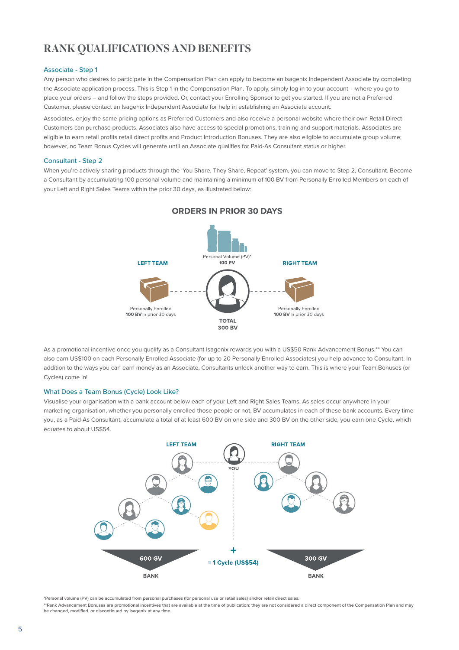## RANK QUALIFICATIONS AND BENEFITS

#### Associate - Step 1

Any person who desires to participate in the Compensation Plan can apply to become an Isagenix Independent Associate by completing the Associate application process. This is Step 1 in the Compensation Plan. To apply, simply log in to your account – where you go to place your orders – and follow the steps provided. Or, contact your Enrolling Sponsor to get you started. If you are not a Preferred Customer, please contact an Isagenix Independent Associate for help in establishing an Associate account.

Associates, enjoy the same pricing options as Preferred Customers and also receive a personal website where their own Retail Direct Customers can purchase products. Associates also have access to special promotions, training and support materials. Associates are eligible to earn retail profits retail direct profits and Product Introduction Bonuses. They are also eligible to accumulate group volume; however, no Team Bonus Cycles will generate until an Associate qualifies for Paid-As Consultant status or higher.

#### Consultant - Step 2

When you're actively sharing products through the 'You Share, They Share, Repeat' system, you can move to Step 2, Consultant. Become a Consultant by accumulating 100 personal volume and maintaining a minimum of 100 BV from Personally Enrolled Members on each of your Left and Right Sales Teams within the prior 30 days, as illustrated below:



#### **ORDERS IN PRIOR 30 DAYS**

As a promotional incentive once you qualify as a Consultant Isagenix rewards you with a US\$50 Rank Advancement Bonus.\*\* You can also earn US\$100 on each Personally Enrolled Associate (for up to 20 Personally Enrolled Associates) you help advance to Consultant. In addition to the ways you can earn money as an Associate, Consultants unlock another way to earn. This is where your Team Bonuses (or Cycles) come in!

#### What Does a Team Bonus (Cycle) Look Like?

Visualise your organisation with a bank account below each of your Left and Right Sales Teams. As sales occur anywhere in your marketing organisation, whether you personally enrolled those people or not, BV accumulates in each of these bank accounts. Every time you, as a Paid-As Consultant, accumulate a total of at least 600 BV on one side and 300 BV on the other side, you earn one Cycle, which equates to about US\$54.



\*Personal volume (PV) can be accumulated from personal purchases (for personal use or retail sales) and/or retail direct sales.

\*\*Rank Advancement Bonuses are promotional incentives that are available at the time of publication; they are not considered a direct component of the Compensation Plan and may be changed, modified, or discontinued by Isagenix at any time.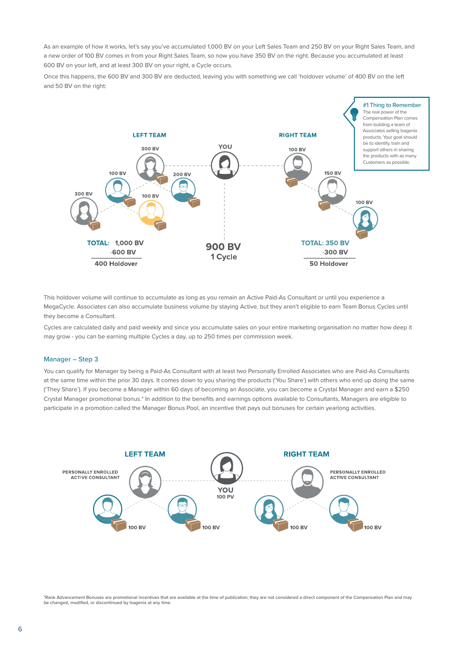As an example of how it works, let's say you've accumulated 1,000 BV on your Left Sales Team and 250 BV on your Right Sales Team, and a new order of 100 BV comes in from your Right Sales Team, so now you have 350 BV on the right. Because you accumulated at least 600 BV on your left, and at least 300 BV on your right, a Cycle occurs.

Once this happens, the 600 BV and 300 BV are deducted, leaving you with something we call 'holdover volume' of 400 BV on the left and 50 BV on the right:



This holdover volume will continue to accumulate as long as you remain an Active Paid-As Consultant or until you experience a MegaCycle. Associates can also accumulate business volume by staying Active, but they aren't eligible to earn Team Bonus Cycles until they become a Consultant.

Cycles are calculated daily and paid weekly and since you accumulate sales on your entire marketing organisation no matter how deep it may grow - you can be earning multiple Cycles a day, up to 250 times per commission week.

#### Manager – Step 3

You can qualify for Manager by being a Paid-As Consultant with at least two Personally Enrolled Associates who are Paid-As Consultants at the same time within the prior 30 days. It comes down to you sharing the products ('You Share') with others who end up doing the same ('They Share'). If you become a Manager within 60 days of becoming an Associate, you can become a Crystal Manager and earn a \$250 Crystal Manager promotional bonus.\* In addition to the benefits and earnings options available to Consultants, Managers are eligible to participate in a promotion called the Manager Bonus Pool, an incentive that pays out bonuses for certain yearlong activities.



\*Rank Advancement Bonuses are promotional incentives that are available at the time of publication; they are not considered a direct component of the Compensation Plan and may be changed, modified, or discontinued by Isagenix at any time.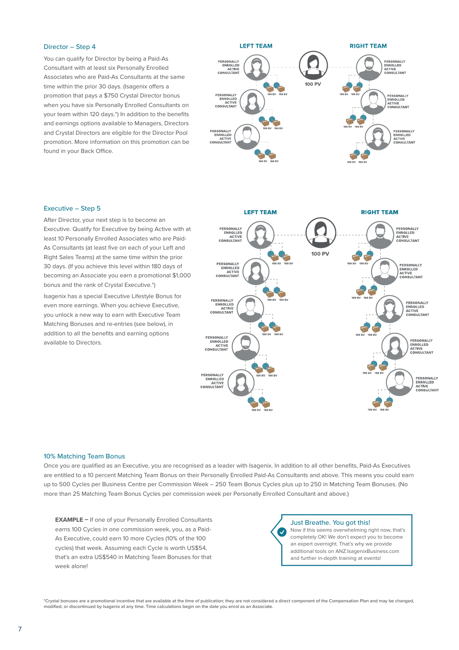#### Director – Step 4

You can qualify for Director by being a Paid-As Consultant with at least six Personally Enrolled Associates who are Paid-As Consultants at the same time within the prior 30 days. (Isagenix offers a promotion that pays a \$750 Crystal Director bonus when you have six Personally Enrolled Consultants on your team within 120 days.\*) In addition to the benefits and earnings options available to Managers, Directors and Crystal Directors are eligible for the Director Pool promotion. More information on this promotion can be found in your Back Office.



#### Executive – Step 5

After Director, your next step is to become an Executive. Qualify for Executive by being Active with at least 10 Personally Enrolled Associates who are Paid-As Consultants (at least five on each of your Left and Right Sales Teams) at the same time within the prior 30 days. (If you achieve this level within 180 days of becoming an Associate you earn a promotional \$1,000 bonus and the rank of Crystal Executive.\*)

Isagenix has a special Executive Lifestyle Bonus for even more earnings. When you achieve Executive, you unlock a new way to earn with Executive Team Matching Bonuses and re-entries (see below), in addition to all the benefits and earning options available to Directors.



#### 10% Matching Team Bonus

Once you are qualified as an Executive, you are recognised as a leader with Isagenix. In addition to all other benefits, Paid-As Executives are entitled to a 10 percent Matching Team Bonus on their Personally Enrolled Paid-As Consultants and above. This means you could earn up to 500 Cycles per Business Centre per Commission Week – 250 Team Bonus Cycles plus up to 250 in Matching Team Bonuses. (No more than 25 Matching Team Bonus Cycles per commission week per Personally Enrolled Consultant and above.)

**EXAMPLE –** If one of your Personally Enrolled Consultants earns 100 Cycles in one commission week, you, as a Paid-As Executive, could earn 10 more Cycles (10% of the 100 cycles) that week. Assuming each Cycle is worth US\$54, that's an extra US\$540 in Matching Team Bonuses for that week alone!

Just Breathe. You got this!

Now if this seems overwhelming right now, that's completely OK! We don't expect you to become an expert overnight. That's why we provide additional tools on ANZ.IsagenixBusiness.com and further in-depth training at events!

\*Crystal bonuses are a promotional incentive that are available at the time of publication; they are not considered a direct component of the Compensation Plan and may be changed, modified, or discontinued by Isagenix at any time. Time calculations begin on the date you enrol as an Associate.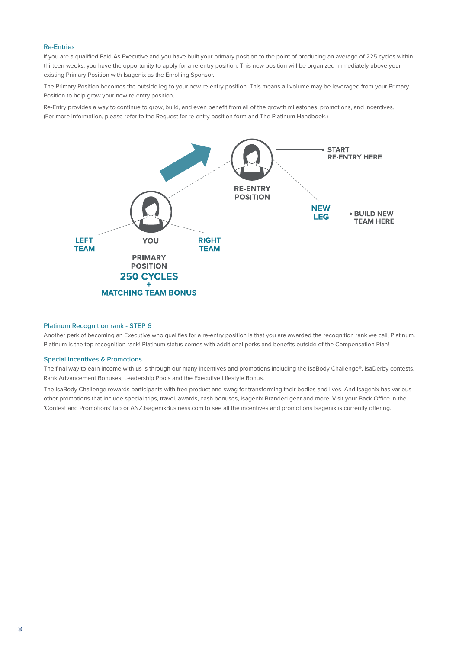#### Re-Entries

If you are a qualified Paid-As Executive and you have built your primary position to the point of producing an average of 225 cycles within thirteen weeks, you have the opportunity to apply for a re-entry position. This new position will be organized immediately above your existing Primary Position with Isagenix as the Enrolling Sponsor.

The Primary Position becomes the outside leg to your new re-entry position. This means all volume may be leveraged from your Primary Position to help grow your new re-entry position.

Re-Entry provides a way to continue to grow, build, and even benefit from all of the growth milestones, promotions, and incentives. (For more information, please refer to the Request for re-entry position form and The Platinum Handbook.)



#### Platinum Recognition rank - STEP 6

Another perk of becoming an Executive who qualifies for a re-entry position is that you are awarded the recognition rank we call, Platinum. Platinum is the top recognition rank! Platinum status comes with additional perks and benefits outside of the Compensation Plan!

#### Special Incentives & Promotions

The final way to earn income with us is through our many incentives and promotions including the IsaBody Challenge®, IsaDerby contests, Rank Advancement Bonuses, Leadership Pools and the Executive Lifestyle Bonus.

The IsaBody Challenge rewards participants with free product and swag for transforming their bodies and lives. And Isagenix has various other promotions that include special trips, travel, awards, cash bonuses, Isagenix Branded gear and more. Visit your Back Office in the 'Contest and Promotions' tab or ANZ.IsagenixBusiness.com to see all the incentives and promotions Isagenix is currently offering.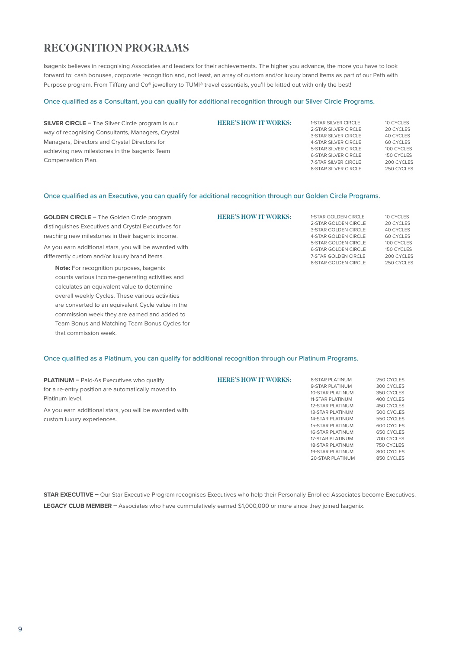## RECOGNITION PROGRAMS

Isagenix believes in recognising Associates and leaders for their achievements. The higher you advance, the more you have to look forward to: cash bonuses, corporate recognition and, not least, an array of custom and/or luxury brand items as part of our Path with Purpose program. From Tiffany and Co® jewellery to TUMI® travel essentials, you'll be kitted out with only the best!

#### Once qualified as a Consultant, you can qualify for additional recognition through our Silver Circle Programs.

| <b>SILVER CIRCLE - The Silver Circle program is our</b> | <b>HERE'S HOW IT WORKS:</b> | 1-STAR SILVER CIRCLE        | 10 CYCLES  |
|---------------------------------------------------------|-----------------------------|-----------------------------|------------|
| way of recognising Consultants, Managers, Crystal       |                             | 2-STAR SILVER CIRCLE        | 20 CYCLES  |
|                                                         |                             | 3-STAR SILVER CIRCLE        | 40 CYCLES  |
| Managers, Directors and Crystal Directors for           |                             | 4-STAR SILVER CIRCLE        | 60 CYCLES  |
| achieving new milestones in the Isagenix Team           |                             | 5-STAR SILVER CIRCLE        | 100 CYCLES |
|                                                         |                             | <b>6-STAR SILVER CIRCLE</b> | 150 CYCLES |
| Compensation Plan.                                      |                             | 7-STAR SILVER CIRCLE        | 200 CYCLES |
|                                                         |                             | 8-STAR SILVER CIRCLE        | 250 CYCLES |
|                                                         |                             |                             |            |

#### Once qualified as an Executive, you can qualify for additional recognition through our Golden Circle Programs.

| <b>GOLDEN CIRCLE - The Golden Circle program</b>       | <b>HERE'S HOW IT WORKS:</b> | 1-STAR GOLDEN CIRCLE                                | 10 CYCLES                |
|--------------------------------------------------------|-----------------------------|-----------------------------------------------------|--------------------------|
| distinguishes Executives and Crystal Executives for    |                             | 2-STAR GOLDEN CIRCLE<br>3-STAR GOLDEN CIRCLE        | 20 CYCLES<br>40 CYCLES   |
| reaching new milestones in their Isagenix income.      |                             | 4-STAR GOLDEN CIRCLE                                | 60 CYCLES                |
| As you earn additional stars, you will be awarded with |                             | 5-STAR GOLDEN CIRCLE                                | 100 CYCLES               |
| differently custom and/or luxury brand items.          |                             | <b>6-STAR GOLDEN CIRCLE</b><br>7-STAR GOLDEN CIRCLE | 150 CYCLES<br>200 CYCLES |
|                                                        |                             | <b>8-STAR GOLDEN CIRCLE</b>                         | 250 CYCLES               |
| <b>Note:</b> For recognition purposes, Isagenix        |                             |                                                     |                          |

counts various income-generating activities and calculates an equivalent value to determine overall weekly Cycles. These various activities are converted to an equivalent Cycle value in the commission week they are earned and added to Team Bonus and Matching Team Bonus Cycles for that commission week.

#### Once qualified as a Platinum, you can qualify for additional recognition through our Platinum Programs.

| <b>PLATINUM - Paid-As Executives who qualify</b>       | <b>HERE'S HOW IT WORKS:</b> | <b>8-STAR PLATINUM</b>  | 250 CYCLES |
|--------------------------------------------------------|-----------------------------|-------------------------|------------|
| for a re-entry position are automatically moved to     |                             | 9-STAR PLATINUM         | 300 CYCLES |
|                                                        |                             | 10-STAR PLATINUM        | 350 CYCLES |
| Platinum level.                                        |                             | 11-STAR PLATINUM        | 400 CYCLES |
|                                                        |                             | <b>12-STAR PLATINUM</b> | 450 CYCLES |
| As you earn additional stars, you will be awarded with |                             | <b>13-STAR PLATINUM</b> | 500 CYCLES |
| custom luxury experiences.                             |                             | <b>14-STAR PLATINUM</b> | 550 CYCLES |
|                                                        |                             | <b>15-STAR PLATINUM</b> | 600 CYCLES |
|                                                        |                             | <b>16-STAR PLATINUM</b> | 650 CYCLES |
|                                                        |                             | 17-STAR PLATINUM        | 700 CYCLES |
|                                                        |                             | <b>18-STAR PLATINUM</b> | 750 CYCLES |
|                                                        |                             | <b>19-STAR PLATINUM</b> | 800 CYCLES |

**STAR EXECUTIVE –** Our Star Executive Program recognises Executives who help their Personally Enrolled Associates become Executives. **LEGACY CLUB MEMBER –** Associates who have cummulatively earned \$1,000,000 or more since they joined Isagenix.

20-STAR PLATINUM

850 CYCLES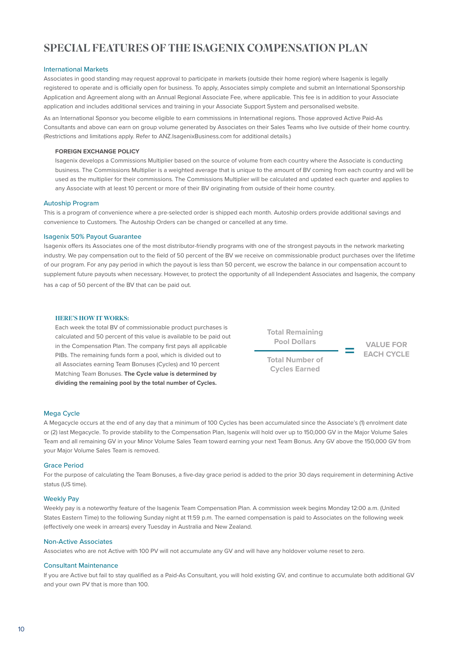## SPECIAL FEATURES OF THE ISAGENIX COMPENSATION PLAN

#### International Markets

Associates in good standing may request approval to participate in markets (outside their home region) where Isagenix is legally registered to operate and is officially open for business. To apply, Associates simply complete and submit an International Sponsorship Application and Agreement along with an Annual Regional Associate Fee, where applicable. This fee is in addition to your Associate application and includes additional services and training in your Associate Support System and personalised website.

As an International Sponsor you become eligible to earn commissions in International regions. Those approved Active Paid-As Consultants and above can earn on group volume generated by Associates on their Sales Teams who live outside of their home country. (Restrictions and limitations apply. Refer to ANZ.IsagenixBusiness.com for additional details.)

#### **FOREIGN EXCHANGE POLICY**

Isagenix develops a Commissions Multiplier based on the source of volume from each country where the Associate is conducting business. The Commissions Multiplier is a weighted average that is unique to the amount of BV coming from each country and will be used as the multiplier for their commissions. The Commissions Multiplier will be calculated and updated each quarter and applies to any Associate with at least 10 percent or more of their BV originating from outside of their home country.

#### Autoship Program

This is a program of convenience where a pre-selected order is shipped each month. Autoship orders provide additional savings and convenience to Customers. The Autoship Orders can be changed or cancelled at any time.

#### Isagenix 50% Payout Guarantee

Isagenix offers its Associates one of the most distributor-friendly programs with one of the strongest payouts in the network marketing industry. We pay compensation out to the field of 50 percent of the BV we receive on commissionable product purchases over the lifetime of our program. For any pay period in which the payout is less than 50 percent, we escrow the balance in our compensation account to supplement future payouts when necessary. However, to protect the opportunity of all Independent Associates and Isagenix, the company has a cap of 50 percent of the BV that can be paid out.

#### HERE'S HOW IT WORKS:

Each week the total BV of commissionable product purchases is calculated and 50 percent of this value is available to be paid out in the Compensation Plan. The company first pays all applicable PIBs. The remaining funds form a pool, which is divided out to all Associates earning Team Bonuses (Cycles) and 10 percent Matching Team Bonuses. **The Cycle value is determined by dividing the remaining pool by the total number of Cycles.**



**= EACH CYCLE**

#### Mega Cycle

A Megacycle occurs at the end of any day that a minimum of 100 Cycles has been accumulated since the Associate's (1) enrolment date or (2) last Megacycle. To provide stability to the Compensation Plan, Isagenix will hold over up to 150,000 GV in the Major Volume Sales Team and all remaining GV in your Minor Volume Sales Team toward earning your next Team Bonus. Any GV above the 150,000 GV from your Major Volume Sales Team is removed.

#### Grace Period

For the purpose of calculating the Team Bonuses, a five-day grace period is added to the prior 30 days requirement in determining Active status (US time).

#### Weekly Pay

Weekly pay is a noteworthy feature of the Isagenix Team Compensation Plan. A commission week begins Monday 12:00 a.m. (United States Eastern Time) to the following Sunday night at 11:59 p.m. The earned compensation is paid to Associates on the following week (effectively one week in arrears) every Tuesday in Australia and New Zealand.

#### Non-Active Associates

Associates who are not Active with 100 PV will not accumulate any GV and will have any holdover volume reset to zero.

#### Consultant Maintenance

If you are Active but fail to stay qualified as a Paid-As Consultant, you will hold existing GV, and continue to accumulate both additional GV and your own PV that is more than 100.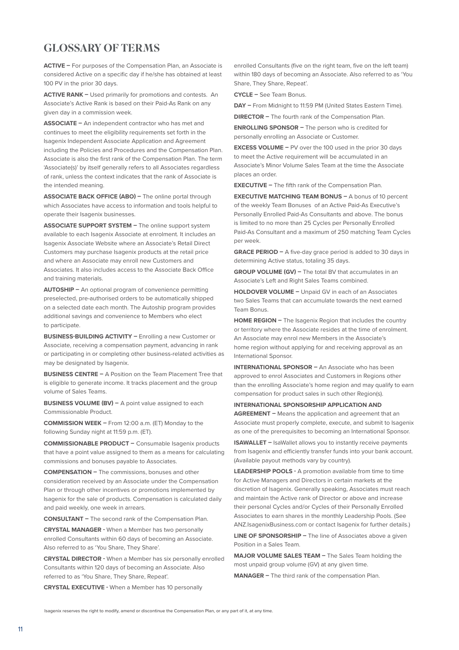### GLOSSARY OF TERMS

**ACTIVE –** For purposes of the Compensation Plan, an Associate is considered Active on a specific day if he/she has obtained at least 100 PV in the prior 30 days.

**ACTIVE RANK –** Used primarily for promotions and contests. An Associate's Active Rank is based on their Paid-As Rank on any given day in a commission week.

**ASSOCIATE –** An independent contractor who has met and continues to meet the eligibility requirements set forth in the Isagenix Independent Associate Application and Agreement including the Policies and Procedures and the Compensation Plan. Associate is also the first rank of the Compensation Plan. The term 'Associate(s)' by itself generally refers to all Associates regardless of rank, unless the context indicates that the rank of Associate is the intended meaning.

**ASSOCIATE BACK OFFICE (ABO) –** The online portal through which Associates have access to information and tools helpful to operate their Isagenix businesses.

**ASSOCIATE SUPPORT SYSTEM –** The online support system available to each Isagenix Associate at enrolment. It includes an Isagenix Associate Website where an Associate's Retail Direct Customers may purchase Isagenix products at the retail price and where an Associate may enroll new Customers and Associates. It also includes access to the Associate Back Office and training materials.

**AUTOSHIP –** An optional program of convenience permitting preselected, pre-authorised orders to be automatically shipped on a selected date each month. The Autoship program provides additional savings and convenience to Members who elect to participate.

**BUSINESS-BUILDING ACTIVITY –** Enrolling a new Customer or Associate, receiving a compensation payment, advancing in rank or participating in or completing other business-related activities as may be designated by Isagenix.

**BUSINESS CENTRE –** A Position on the Team Placement Tree that is eligible to generate income. It tracks placement and the group volume of Sales Teams.

**BUSINESS VOLUME (BV) –** A point value assigned to each Commissionable Product.

**COMMISSION WEEK –** From 12:00 a.m. (ET) Monday to the following Sunday night at 11:59 p.m. (ET).

**COMMISSIONABLE PRODUCT –** Consumable Isagenix products that have a point value assigned to them as a means for calculating commissions and bonuses payable to Associates.

**COMPENSATION –** The commissions, bonuses and other consideration received by an Associate under the Compensation Plan or through other incentives or promotions implemented by Isagenix for the sale of products. Compensation is calculated daily and paid weekly, one week in arrears.

**CONSULTANT –** The second rank of the Compensation Plan.

**CRYSTAL MANAGER -** When a Member has two personally enrolled Consultants within 60 days of becoming an Associate. Also referred to as 'You Share, They Share'.

**CRYSTAL DIRECTOR -** When a Member has six personally enrolled Consultants within 120 days of becoming an Associate. Also referred to as 'You Share, They Share, Repeat'.

**CRYSTAL EXECUTIVE -** When a Member has 10 personally

enrolled Consultants (five on the right team, five on the left team) within 180 days of becoming an Associate. Also referred to as 'You Share, They Share, Repeat'.

**CYCLE –** See Team Bonus.

**DAY –** From Midnight to 11:59 PM (United States Eastern Time).

**DIRECTOR –** The fourth rank of the Compensation Plan.

**ENROLLING SPONSOR –** The person who is credited for personally enrolling an Associate or Customer.

**EXCESS VOLUME –** PV over the 100 used in the prior 30 days to meet the Active requirement will be accumulated in an Associate's Minor Volume Sales Team at the time the Associate places an order.

**EXECUTIVE –** The fifth rank of the Compensation Plan.

**EXECUTIVE MATCHING TEAM BONUS –** A bonus of 10 percent of the weekly Team Bonuses of an Active Paid-As Executive's Personally Enrolled Paid-As Consultants and above. The bonus is limited to no more than 25 Cycles per Personally Enrolled Paid-As Consultant and a maximum of 250 matching Team Cycles per week.

**GRACE PERIOD –** A five-day grace period is added to 30 days in determining Active status, totaling 35 days.

**GROUP VOLUME (GV) –** The total BV that accumulates in an Associate's Left and Right Sales Teams combined.

**HOLDOVER VOLUME –** Unpaid GV in each of an Associates two Sales Teams that can accumulate towards the next earned Team Bonus.

**HOME REGION –** The Isagenix Region that includes the country or territory where the Associate resides at the time of enrolment. An Associate may enrol new Members in the Associate's home region without applying for and receiving approval as an International Sponsor.

**INTERNATIONAL SPONSOR –** An Associate who has been approved to enrol Associates and Customers in Regions other than the enrolling Associate's home region and may qualify to earn compensation for product sales in such other Region(s).

#### **INTERNATIONAL SPONSORSHIP APPLICATION AND**

**AGREEMENT –** Means the application and agreement that an Associate must properly complete, execute, and submit to Isagenix as one of the prerequisites to becoming an International Sponsor.

**ISAWALLET - IsaWallet allows you to instantly receive payments** from Isagenix and efficiently transfer funds into your bank account. (Available payout methods vary by country).

**LEADERSHIP POOLS -** A promotion available from time to time for Active Managers and Directors in certain markets at the discretion of Isagenix. Generally speaking, Associates must reach and maintain the Active rank of Director or above and increase their personal Cycles and/or Cycles of their Personally Enrolled Associates to earn shares in the monthly Leadership Pools. (See ANZ.IsagenixBusiness.com or contact Isagenix for further details.)

**LINE OF SPONSORSHIP –** The line of Associates above a given Position in a Sales Team.

**MAJOR VOLUME SALES TEAM - The Sales Team holding the** most unpaid group volume (GV) at any given time.

**MANAGER –** The third rank of the compensation Plan.

Isagenix reserves the right to modify, amend or discontinue the Compensation Plan, or any part of it, at any time.